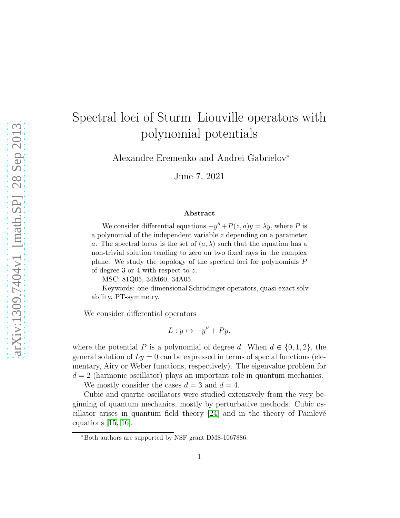## Spectral loci of Sturm–Liouville operators with polynomial potentials

Alexandre Eremenko and Andrei Gabrielov<sup>∗</sup>

June 7, 2021

## Abstract

We consider differential equations  $-y'' + P(z, a)y = \lambda y$ , where P is a polynomial of the independent variable z depending on a parameter a. The spectral locus is the set of  $(a, \lambda)$  such that the equation has a non-trivial solution tending to zero on two fixed rays in the complex plane. We study the topology of the spectral loci for polynomials P of degree 3 or 4 with respect to z.

MSC: 81Q05, 34M60, 34A05.

Keywords: one-dimensional Schrödinger operators, quasi-exact solvability, PT-symmetry.

We consider differential operators

$$
L: y \mapsto -y'' + Py,
$$

where the potential P is a polynomial of degree d. When  $d \in \{0, 1, 2\}$ , the general solution of  $Ly = 0$  can be expressed in terms of special functions (elementary, Airy or Weber functions, respectively). The eigenvalue problem for  $d = 2$  (harmonic oscillator) plays an important role in quantum mechanics.

We mostly consider the cases  $d = 3$  and  $d = 4$ .

Cubic and quartic oscillators were studied extensively from the very beginning of quantum mechanics, mostly by perturbative methods. Cubic oscillator arises in quantum field theory  $[24]$  and in the theory of Painlevé equations  $|15, 16|$ .

<sup>∗</sup>Both authors are supported by NSF grant DMS-1067886.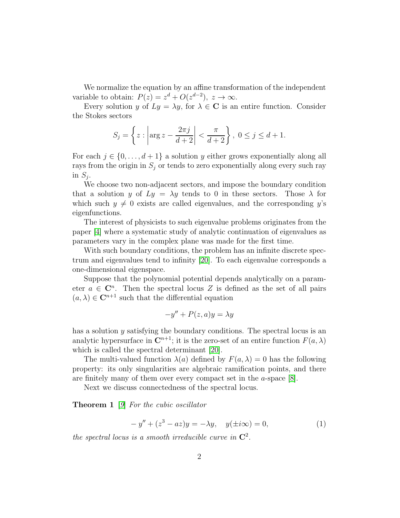We normalize the equation by an affine transformation of the independent variable to obtain:  $P(z) = z^d + O(z^{d-2}), z \to \infty.$ 

Every solution y of  $Ly = \lambda y$ , for  $\lambda \in \mathbb{C}$  is an entire function. Consider the Stokes sectors

$$
S_j = \left\{ z : \left| \arg z - \frac{2\pi j}{d+2} \right| < \frac{\pi}{d+2} \right\}, 0 \le j \le d+1.
$$

For each  $j \in \{0, \ldots, d+1\}$  a solution y either grows exponentially along all rays from the origin in  $S_i$  or tends to zero exponentially along every such ray in  $S_j$ .

We choose two non-adjacent sectors, and impose the boundary condition that a solution y of  $Ly = \lambda y$  tends to 0 in these sectors. Those  $\lambda$  for which such  $y \neq 0$  exists are called eigenvalues, and the corresponding y's eigenfunctions.

The interest of physicists to such eigenvalue problems originates from the paper [\[4\]](#page-11-0) where a systematic study of analytic continuation of eigenvalues as parameters vary in the complex plane was made for the first time.

With such boundary conditions, the problem has an infinite discrete spectrum and eigenvalues tend to infinity [\[20\]](#page-12-3). To each eigenvalue corresponds a one-dimensional eigenspace.

Suppose that the polynomial potential depends analytically on a parameter  $a \in \mathbb{C}^n$ . Then the spectral locus Z is defined as the set of all pairs  $(a, \lambda) \in \mathbb{C}^{n+1}$  such that the differential equation

$$
-y'' + P(z, a)y = \lambda y
$$

has a solution y satisfying the boundary conditions. The spectral locus is an analytic hypersurface in  $\mathbb{C}^{n+1}$ ; it is the zero-set of an entire function  $F(a, \lambda)$ which is called the spectral determinant [\[20\]](#page-12-3).

The multi-valued function  $\lambda(a)$  defined by  $F(a, \lambda) = 0$  has the following property: its only singularities are algebraic ramification points, and there are finitely many of them over every compact set in the a-space [\[8\]](#page-11-1).

Next we discuss connectedness of the spectral locus.

**Theorem 1** [[9](#page-11-2)] For the cubic oscillator

<span id="page-1-0"></span>
$$
-y'' + (z3 - az)y = -\lambda y, \quad y(\pm i\infty) = 0,
$$
 (1)

the spectral locus is a smooth irreducible curve in  $\mathbb{C}^2$ .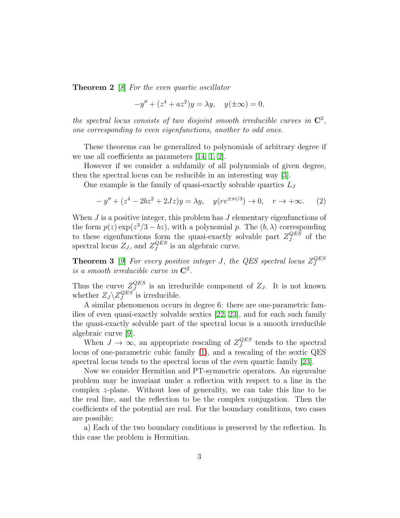**Theorem 2** [[8](#page-11-1)] For the even quartic oscillator

$$
-y'' + (z^4 + az^2)y = \lambda y, \quad y(\pm \infty) = 0,
$$

the spectral locus consists of two disjoint smooth irreducible curves in  $\mathbb{C}^2$ , one corresponding to even eigenfunctions, another to odd ones.

These theorems can be generalized to polynomials of arbitrary degree if we use all coefficients as parameters [\[14,](#page-11-3) [1,](#page-10-0) [2\]](#page-11-4).

However if we consider a subfamily of all polynomials of given degree, then the spectral locus can be reducible in an interesting way [\[3\]](#page-11-5).

One example is the family of quasi-exactly solvable quartics  $L_J$ 

<span id="page-2-0"></span>
$$
-y'' + (z^4 - 2bz^2 + 2Jz)y = \lambda y, \quad y(re^{\pm \pi i/3}) \to 0, \quad r \to +\infty.
$$
 (2)

When  $J$  is a positive integer, this problem has  $J$  elementary eigenfunctions of the form  $p(z) \exp(z^3/3 - bz)$ , with a polynomial p. The  $(b, \lambda)$  corresponding to these eigenfunctions form the quasi-exactly solvable part  $Z_J^{QES}$  $J<sup>QES</sup>$  of the spectral locus  $Z_J$ , and  $Z_J^{QES}$  $J<sup>GES</sup>$  is an algebraic curve.

**Theorem 3** [[9](#page-11-2)] For every positive integer J, the QES spectral locus  $Z_J^{QES}$ J is a smooth irreducible curve in  $\mathbb{C}^2$ .

Thus the curve  $Z_J^{QES}$  $\mathcal{L}^{QES}_{J}$  is an irreducible component of  $Z_J$ . It is not known whether  $Z_J \backslash Z_J^{QES}$  $J<sup>QES</sup>$  is irreducible.

A similar phenomenon occurs in degree 6: there are one-parametric families of even quasi-exactly solvable sextics [\[22,](#page-12-4) [23\]](#page-12-5), and for each such family the quasi-exactly solvable part of the spectral locus is a smooth irreducible algebraic curve [\[9\]](#page-11-2).

When  $J \to \infty$ , an appropriate rescaling of  $Z_J^{QES}$  $J<sup>QES</sup>$  tends to the spectral locus of one-parametric cubic family [\(1\)](#page-1-0), and a rescaling of the sextic QES spectral locus tends to the spectral locus of the even quartic family [\[23\]](#page-12-5).

Now we consider Hermitian and PT-symmetric operators. An eigenvalue problem may be invariant under a reflection with respect to a line in the complex z-plane. Without loss of generality, we can take this line to be the real line, and the reflection to be the complex conjugation. Then the coefficients of the potential are real. For the boundary conditions, two cases are possible:

a) Each of the two boundary conditions is preserved by the reflection. In this case the problem is Hermitian.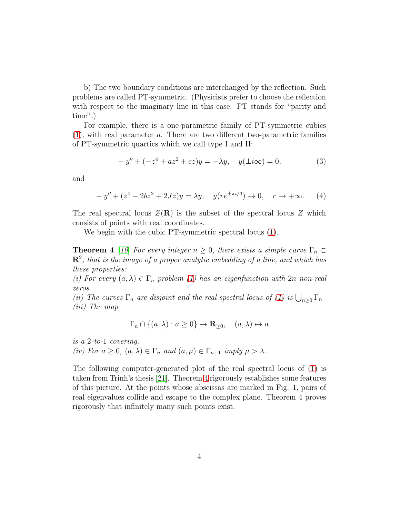b) The two boundary conditions are interchanged by the reflection. Such problems are called PT-symmetric. (Physicists prefer to choose the reflection with respect to the imaginary line in this case. PT stands for "parity and time".)

For example, there is a one-parametric family of PT-symmetric cubics  $(1)$ , with real parameter a. There are two different two-parametric families of PT-symmetric quartics which we call type I and II:

<span id="page-3-1"></span>
$$
-y'' + (-z4 + az2 + cz)y = -\lambda y, \quad y(\pm i\infty) = 0,
$$
 (3)

and

$$
-y'' + (z^4 - 2bz^2 + 2Jz)y = \lambda y, \quad y(re^{\pm \pi i/3}) \to 0, \quad r \to +\infty.
$$
 (4)

The real spectral locus  $Z(\mathbf{R})$  is the subset of the spectral locus Z which consists of points with real coordinates.

<span id="page-3-0"></span>We begin with the cubic PT-symmetric spectral locus [\(1\)](#page-1-0).

**Theorem 4** [[10](#page-11-6)] For every integer  $n \geq 0$ , there exists a simple curve  $\Gamma_n \subset$  $\mathbf{R}^2$ , that is the image of a proper analytic embedding of a line, and which has these properties:

(i) For every  $(a, \lambda) \in \Gamma_n$  problem [\(1\)](#page-1-0) has an eigenfunction with  $2n$  non-real zeros.

(ii) The curves  $\Gamma_n$  are disjoint and the real spectral locus of [\(1\)](#page-1-0) is  $\bigcup_{n\geq 0} \Gamma_n$ (iii) The map

$$
\Gamma_n \cap \{(a,\lambda) : a \ge 0\} \to \mathbf{R}_{\ge 0}, \quad (a,\lambda) \mapsto a
$$

is a 2-to-1 covering. (iv) For  $a \geq 0$ ,  $(a, \lambda) \in \Gamma_n$  and  $(a, \mu) \in \Gamma_{n+1}$  imply  $\mu > \lambda$ .

The following computer-generated plot of the real spectral locus of [\(1\)](#page-1-0) is taken from Trinh's thesis [\[21\]](#page-12-6). Theorem [4](#page-3-0) rigorously establishes some features of this picture. At the points whose abscissas are marked in Fig. 1, pairs of real eigenvalues collide and escape to the complex plane. Theorem 4 proves rigorously that infinitely many such points exist.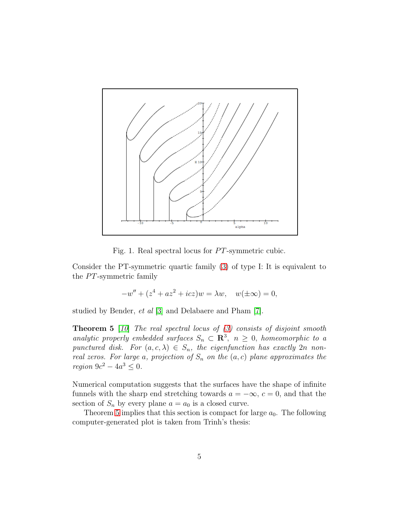

Fig. 1. Real spectral locus for  $PT$ -symmetric cubic.

Consider the PT-symmetric quartic family [\(3\)](#page-3-1) of type I: It is equivalent to the  $PT$ -symmetric family

$$
-w'' + (z^4 + az^2 + icz)w = \lambda w, \quad w(\pm \infty) = 0,
$$

<span id="page-4-0"></span>studied by Bender, et al [\[3\]](#page-11-5) and Delabaere and Pham [\[7\]](#page-11-7).

**Theorem 5** [[10](#page-11-6)] The real spectral locus of  $(3)$  consists of disjoint smooth analytic properly embedded surfaces  $S_n \subset \mathbb{R}^3$ ,  $n \geq 0$ , homeomorphic to a punctured disk. For  $(a, c, \lambda) \in S_n$ , the eigenfunction has exactly  $2n$  nonreal zeros. For large a, projection of  $S_n$  on the  $(a, c)$  plane approximates the *region*  $9c^2 - 4a^3 \leq 0$ .

Numerical computation suggests that the surfaces have the shape of infinite funnels with the sharp end stretching towards  $a = -\infty$ ,  $c = 0$ , and that the section of  $S_n$  by every plane  $a = a_0$  is a closed curve.

Theorem [5](#page-4-0) implies that this section is compact for large  $a_0$ . The following computer-generated plot is taken from Trinh's thesis: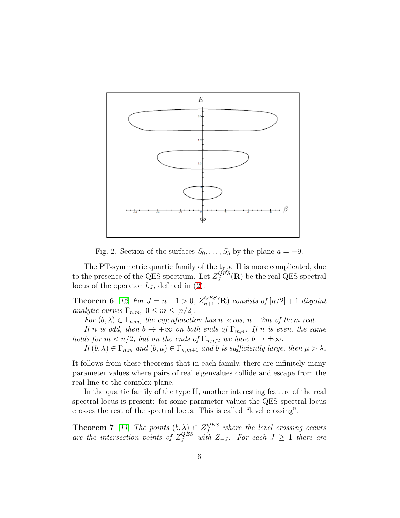

Fig. 2. Section of the surfaces  $S_0, \ldots, S_3$  by the plane  $a = -9$ .

The PT-symmetric quartic family of the type II is more complicated, due to the presence of the QES spectrum. Let  $Z_J^{QES}$  $Q^{ES}_{J}(\mathbf{R})$  be the real QES spectral locus of the operator  $L_J$ , defined in [\(2\)](#page-2-0).

**Theorem 6** [[12](#page-11-8)] For  $J = n + 1 > 0$ ,  $Z_{n+1}^{QES}(\mathbf{R})$  consists of  $[n/2] + 1$  disjoint analytic curves  $\Gamma_{n,m}$ ,  $0 \leq m \leq \lceil n/2 \rceil$ .

For  $(b, \lambda) \in \Gamma_{n,m}$ , the eigenfunction has n zeros,  $n-2m$  of them real.

If n is odd, then  $b \to +\infty$  on both ends of  $\Gamma_{m,n}$ . If n is even, the same holds for  $m < n/2$ , but on the ends of  $\Gamma_{n,n/2}$  we have  $b \to \pm \infty$ .

If  $(b, \lambda) \in \Gamma_{n,m}$  and  $(b, \mu) \in \Gamma_{n,m+1}$  and b is sufficiently large, then  $\mu > \lambda$ .

It follows from these theorems that in each family, there are infinitely many parameter values where pairs of real eigenvalues collide and escape from the real line to the complex plane.

In the quartic family of the type II, another interesting feature of the real spectral locus is present: for some parameter values the QES spectral locus crosses the rest of the spectral locus. This is called "level crossing".

**Theorem 7** [[11](#page-11-9)] The points  $(b, \lambda) \in Z_{J}^{QES}$  where the level crossing occurs are the intersection points of  $Z_J^{QES}$  with  $Z_{-J}$ . For each  $J \geq 1$  there are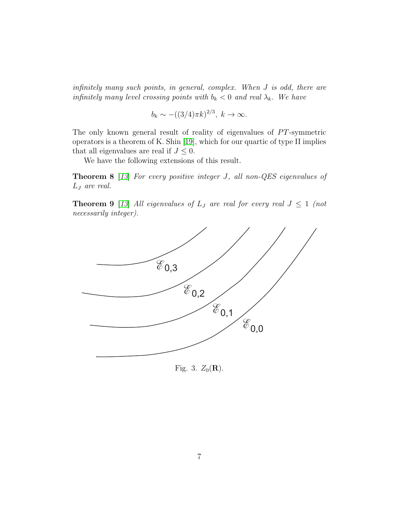infinitely many such points, in general, complex. When J is odd, there are infinitely many level crossing points with  $b_k < 0$  and real  $\lambda_k$ . We have

$$
b_k \sim -((3/4)\pi k)^{2/3}, k \to \infty.
$$

The only known general result of reality of eigenvalues of  $PT$ -symmetric operators is a theorem of K. Shin [\[19\]](#page-12-7), which for our quartic of type II implies that all eigenvalues are real if  $J \leq 0$ .

We have the following extensions of this result.

Theorem 8 [[13](#page-11-10)] For every positive integer J, all non-QES eigenvalues of L<sup>J</sup> are real.

**Theorem 9** [[13](#page-11-10)] All eigenvalues of  $L_J$  are real for every real  $J \leq 1$  (not necessarily integer).



Fig. 3.  $Z_0(\mathbf{R})$ .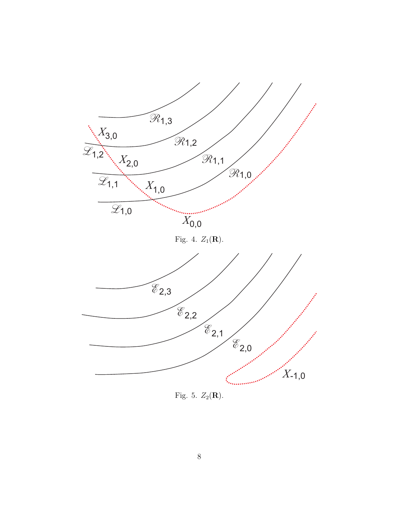

Fig. 5.  $Z_2(\mathbf{R})$ .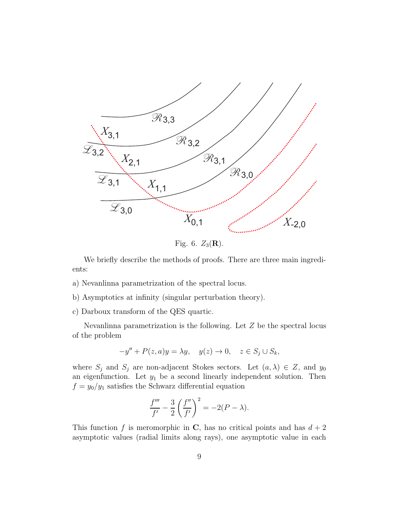

Fig. 6.  $Z_3(\mathbf{R})$ .

We briefly describe the methods of proofs. There are three main ingredients:

- a) Nevanlinna parametrization of the spectral locus.
- b) Asymptotics at infinity (singular perturbation theory).
- c) Darboux transform of the QES quartic.

Nevanlinna parametrization is the following. Let  $Z$  be the spectral locus of the problem

$$
-y'' + P(z, a)y = \lambda y, \quad y(z) \to 0, \quad z \in S_j \cup S_k,
$$

where  $S_j$  and  $S_j$  are non-adjacent Stokes sectors. Let  $(a, \lambda) \in Z$ , and  $y_0$ an eigenfunction. Let  $y_1$  be a second linearly independent solution. Then  $f = y_0/y_1$  satisfies the Schwarz differential equation

$$
\frac{f'''}{f'} - \frac{3}{2} \left( \frac{f''}{f'} \right)^2 = -2(P - \lambda).
$$

This function f is meromorphic in C, has no critical points and has  $d + 2$ asymptotic values (radial limits along rays), one asymptotic value in each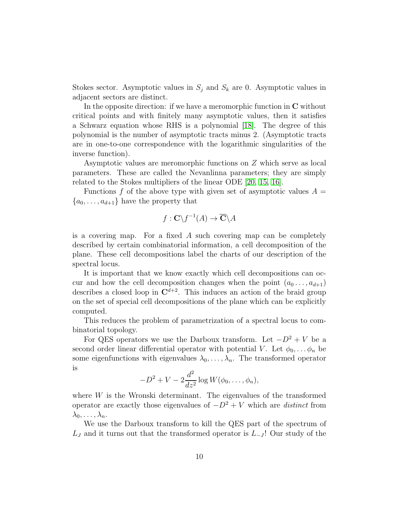Stokes sector. Asymptotic values in  $S_j$  and  $S_k$  are 0. Asymptotic values in adjacent sectors are distinct.

In the opposite direction: if we have a meromorphic function in C without critical points and with finitely many asymptotic values, then it satisfies a Schwarz equation whose RHS is a polynomial [\[18\]](#page-12-8). The degree of this polynomial is the number of asymptotic tracts minus 2. (Asymptotic tracts are in one-to-one correspondence with the logarithmic singularities of the inverse function).

Asymptotic values are meromorphic functions on Z which serve as local parameters. These are called the Nevanlinna parameters; they are simply related to the Stokes multipliers of the linear ODE [\[20,](#page-12-3) [15,](#page-12-1) [16\]](#page-12-2).

Functions f of the above type with given set of asymptotic values  $A =$  ${a_0, \ldots, a_{d+1}}$  have the property that

$$
f: \mathbf{C} \backslash f^{-1}(A) \to \overline{\mathbf{C}} \backslash A
$$

is a covering map. For a fixed  $A$  such covering map can be completely described by certain combinatorial information, a cell decomposition of the plane. These cell decompositions label the charts of our description of the spectral locus.

It is important that we know exactly which cell decompositions can occur and how the cell decomposition changes when the point  $(a_0 \ldots, a_{d+1})$ describes a closed loop in  $\mathbb{C}^{d+2}$ . This induces an action of the braid group on the set of special cell decompositions of the plane which can be explicitly computed.

This reduces the problem of parametrization of a spectral locus to combinatorial topology.

For QES operators we use the Darboux transform. Let  $-D^2 + V$  be a second order linear differential operator with potential V. Let  $\phi_0, \ldots, \phi_n$  be some eigenfunctions with eigenvalues  $\lambda_0, \ldots, \lambda_n$ . The transformed operator is

$$
-D2 + V - 2\frac{d2}{dz2} \log W(\phi_0, \ldots, \phi_n),
$$

where  $W$  is the Wronski determinant. The eigenvalues of the transformed operator are exactly those eigenvalues of  $-D^2 + V$  which are *distinct* from  $\lambda_0, \ldots, \lambda_n$ .

We use the Darboux transform to kill the QES part of the spectrum of  $L_J$  and it turns out that the transformed operator is  $L_{-J}$ ! Our study of the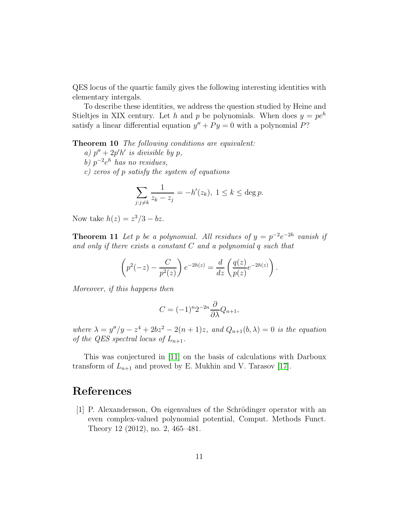QES locus of the quartic family gives the following interesting identities with elementary intergals.

To describe these identities, we address the question studied by Heine and Stieltjes in XIX century. Let h and p be polynomials. When does  $y = pe^h$ satisfy a linear differential equation  $y'' + Py = 0$  with a polynomial P?

Theorem 10 The following conditions are equivalent:

- a)  $p'' + 2p'h'$  is divisible by p,
- b)  $p^{-2}e^h$  has no residues,
- c) zeros of p satisfy the system of equations

$$
\sum_{j:j\neq k} \frac{1}{z_k - z_j} = -h'(z_k), \ 1 \le k \le \deg p.
$$

Now take  $h(z) = z^3/3 - bz$ .

**Theorem 11** Let p be a polynomial. All residues of  $y = p^{-2}e^{-2h}$  vanish if and only if there exists a constant  $C$  and a polynomial  $q$  such that

$$
\left(p^2(-z) - \frac{C}{p^2(z)}\right)e^{-2h(z)} = \frac{d}{dz}\left(\frac{q(z)}{p(z)}e^{-2h(z)}\right).
$$

Moreover, if this happens then

$$
C = (-1)^n 2^{-2n} \frac{\partial}{\partial \lambda} Q_{n+1},
$$

where  $\lambda = y''/y - z^4 + 2bz^2 - 2(n+1)z$ , and  $Q_{n+1}(b, \lambda) = 0$  is the equation of the QES spectral locus of  $L_{n+1}$ .

This was conjectured in [\[11\]](#page-11-9) on the basis of calculations with Darboux transform of  $L_{n+1}$  and proved by E. Mukhin and V. Tarasov [\[17\]](#page-12-9).

## <span id="page-10-0"></span>References

[1] P. Alexandersson, On eigenvalues of the Schrödinger operator with an even complex-valued polynomial potential, Comput. Methods Funct. Theory 12 (2012), no. 2, 465–481.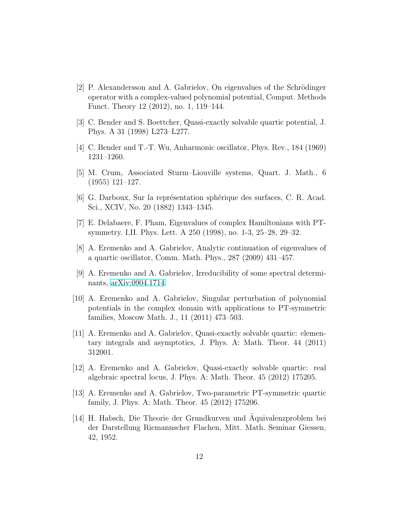- <span id="page-11-4"></span>[2] P. Alexandersson and A. Gabrielov, On eigenvalues of the Schrödinger operator with a complex-valued polynomial potential, Comput. Methods Funct. Theory 12 (2012), no. 1, 119–144.
- <span id="page-11-5"></span><span id="page-11-0"></span>[3] C. Bender and S. Boettcher, Quasi-exactly solvable quartic potential, J. Phys. A 31 (1998) L273–L277.
- [4] C. Bender and T.-T. Wu, Anharmonic oscillator, Phys. Rev., 184 (1969) 1231–1260.
- [5] M. Crum, Associated Sturm–Liouville systems, Quart. J. Math., 6 (1955) 121–127.
- <span id="page-11-7"></span>[6] G. Darboux, Sur la représentation sphérique des surfaces, C. R. Acad. Sci., XCIV, No. 20 (1882) 1343–1345.
- <span id="page-11-1"></span>[7] E. Delabaere, F. Pham, Eigenvalues of complex Hamiltonians with PTsymmetry. I,II. Phys. Lett. A 250 (1998), no. 1-3, 25–28, 29–32.
- <span id="page-11-2"></span>[8] A. Eremenko and A. Gabrielov, Analytic continuation of eigenvalues of a quartic oscillator, Comm. Math. Phys., 287 (2009) 431–457.
- <span id="page-11-6"></span>[9] A. Eremenko and A. Gabrielov, Irreducibility of some spectral determinants, [arXiv:0904.1714.](http://arxiv.org/abs/0904.1714)
- [10] A. Eremenko and A. Gabrielov, Singular perturbation of polynomial potentials in the complex domain with applications to PT-symmetric families, Moscow Math. J., 11 (2011) 473–503.
- <span id="page-11-9"></span>[11] A. Eremenko and A. Gabrielov, Quasi-exactly solvable quartic: elementary integrals and asymptotics, J. Phys. A: Math. Theor. 44 (2011) 312001.
- <span id="page-11-8"></span>[12] A. Eremenko and A. Gabrielov, Quasi-exactly solvable quartic: real algebraic spectral locus, J. Phys. A: Math. Theor. 45 (2012) 175205.
- <span id="page-11-10"></span>[13] A. Eremenko and A. Gabrielov, Two-parametric PT-symmetric quartic family, J. Phys. A: Math. Theor. 45 (2012) 175206.
- <span id="page-11-3"></span>[14] H. Habsch, Die Theorie der Grundkurven und Aquivalenzproblem bei ¨ der Darstellung Riemannscher Flachen, Mitt. Math. Seminar Giessen, 42, 1952.